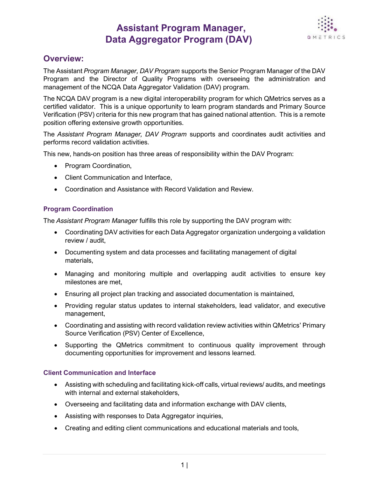## **Assistant Program Manager, Data Aggregator Program (DAV)**



### **Overview:**

The Assistant *Program Manager, DAV Program* supports the Senior Program Manager of the DAV Program and the Director of Quality Programs with overseeing the administration and management of the NCQA Data Aggregator Validation (DAV) program.

The NCQA DAV program is a new digital interoperability program for which QMetrics serves as a certified validator. This is a unique opportunity to learn program standards and Primary Source Verification (PSV) criteria for this new program that has gained national attention. This is a remote position offering extensive growth opportunities.

The *Assistant Program Manager, DAV Program* supports and coordinates audit activities and performs record validation activities.

This new, hands-on position has three areas of responsibility within the DAV Program:

- Program Coordination,
- Client Communication and Interface,
- Coordination and Assistance with Record Validation and Review.

### **Program Coordination**

The *Assistant Program Manager* fulfills this role by supporting the DAV program with:

- Coordinating DAV activities for each Data Aggregator organization undergoing a validation review / audit,
- Documenting system and data processes and facilitating management of digital materials,
- Managing and monitoring multiple and overlapping audit activities to ensure key milestones are met,
- Ensuring all project plan tracking and associated documentation is maintained,
- Providing regular status updates to internal stakeholders, lead validator, and executive management,
- Coordinating and assisting with record validation review activities within QMetrics' Primary Source Verification (PSV) Center of Excellence,
- Supporting the QMetrics commitment to continuous quality improvement through documenting opportunities for improvement and lessons learned.

### **Client Communication and Interface**

- Assisting with scheduling and facilitating kick-off calls, virtual reviews/ audits, and meetings with internal and external stakeholders.
- Overseeing and facilitating data and information exchange with DAV clients,
- Assisting with responses to Data Aggregator inquiries,
- Creating and editing client communications and educational materials and tools,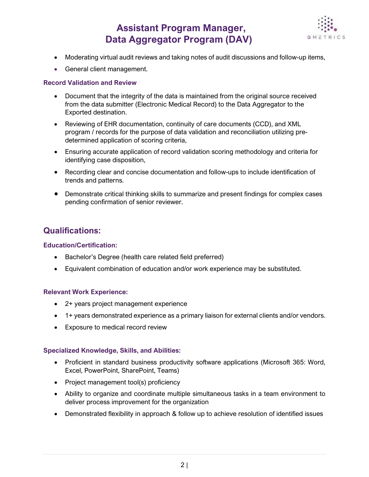# **Assistant Program Manager, Data Aggregator Program (DAV)**



- Moderating virtual audit reviews and taking notes of audit discussions and follow-up items,
- General client management.

### **Record Validation and Review**

- Document that the integrity of the data is maintained from the original source received from the data submitter (Electronic Medical Record) to the Data Aggregator to the Exported destination.
- Reviewing of EHR documentation, continuity of care documents (CCD), and XML program / records for the purpose of data validation and reconciliation utilizing predetermined application of scoring criteria,
- Ensuring accurate application of record validation scoring methodology and criteria for identifying case disposition,
- Recording clear and concise documentation and follow-ups to include identification of trends and patterns.
- Demonstrate critical thinking skills to summarize and present findings for complex cases pending confirmation of senior reviewer.

## **Qualifications:**

### **Education/Certification:**

- Bachelor's Degree (health care related field preferred)
- Equivalent combination of education and/or work experience may be substituted.

### **Relevant Work Experience:**

- 2+ years project management experience
- 1+ years demonstrated experience as a primary liaison for external clients and/or vendors.
- Exposure to medical record review

### **Specialized Knowledge, Skills, and Abilities:**

- Proficient in standard business productivity software applications (Microsoft 365: Word, Excel, PowerPoint, SharePoint, Teams)
- Project management tool(s) proficiency
- Ability to organize and coordinate multiple simultaneous tasks in a team environment to deliver process improvement for the organization
- Demonstrated flexibility in approach & follow up to achieve resolution of identified issues